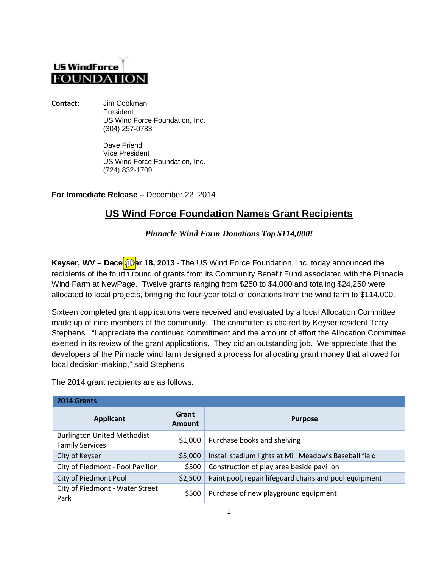## **US WindForce FOUNDATION**

**Contact:** Jim Cookman President US Wind Force Foundation, Inc. (304) 257-0783

> Dave Friend Vice President US Wind Force Foundation, Inc. (724) 832-1709

**For Immediate Release** – December 22, 2014

## **US Wind Force Foundation Names Grant Recipients**

*Pinnacle Wind Farm Donations Top \$114,000!*

Keyser, WV – Dece**OD**er 18, 2013 - The US Wind Force Foundation, Inc. today announced the recipients of the fourth round of grants from its Community Benefit Fund associated with the Pinnacle Wind Farm at NewPage. Twelve grants ranging from \$250 to \$4,000 and totaling \$24,250 were allocated to local projects, bringing the four-year total of donations from the wind farm to \$114,000.

Sixteen completed grant applications were received and evaluated by a local Allocation Committee made up of nine members of the community. The committee is chaired by Keyser resident Terry Stephens. "I appreciate the continued commitment and the amount of effort the Allocation Committee exerted in its review of the grant applications. They did an outstanding job. We appreciate that the developers of the Pinnacle wind farm designed a process for allocating grant money that allowed for local decision-making," said Stephens.

The 2014 grant recipients are as follows:

| 2014 Grants                                                  |                        |                                                        |  |
|--------------------------------------------------------------|------------------------|--------------------------------------------------------|--|
| <b>Applicant</b>                                             | Grant<br><b>Amount</b> | <b>Purpose</b>                                         |  |
| <b>Burlington United Methodist</b><br><b>Family Services</b> | \$1,000                | Purchase books and shelving                            |  |
| City of Keyser                                               | \$5,000                | Install stadium lights at Mill Meadow's Baseball field |  |
| City of Piedmont - Pool Pavilion                             | \$500                  | Construction of play area beside pavilion              |  |
| City of Piedmont Pool                                        | \$2,500                | Paint pool, repair lifeguard chairs and pool equipment |  |
| City of Piedmont - Water Street<br>Park                      | \$500                  | Purchase of new playground equipment                   |  |